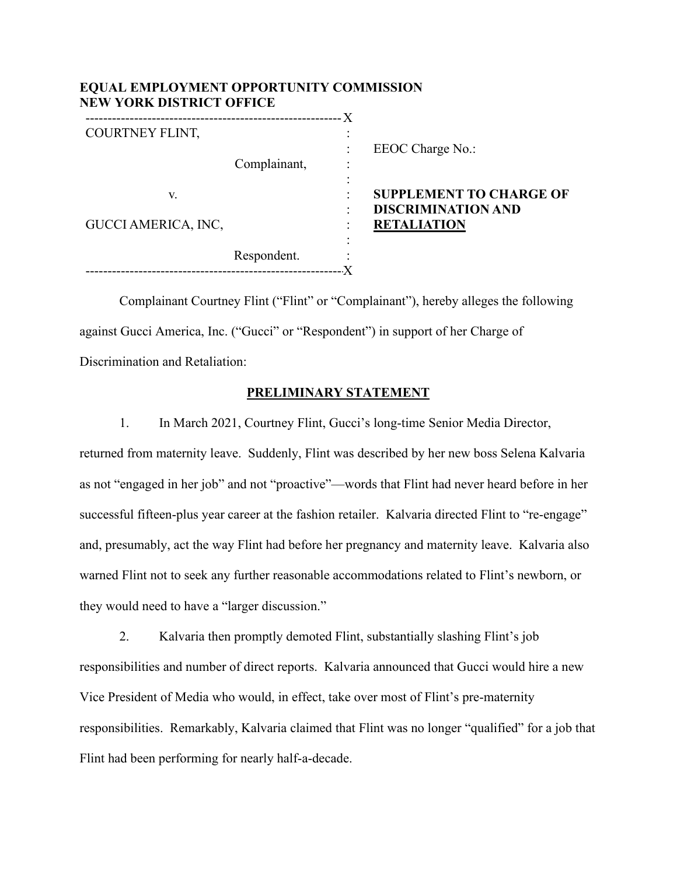| EQUAL EMPLOYMENT OPPORTUNITY COMMISSION<br><b>NEW YORK DISTRICT OFFICE</b> |              |                                                                                   |
|----------------------------------------------------------------------------|--------------|-----------------------------------------------------------------------------------|
| COURTNEY FLINT,                                                            | Complainant, | EEOC Charge No.:                                                                  |
| V.<br>GUCCI AMERICA, INC,                                                  |              | <b>SUPPLEMENT TO CHARGE OF</b><br><b>DISCRIMINATION AND</b><br><b>RETALIATION</b> |
|                                                                            | Respondent.  |                                                                                   |

Complainant Courtney Flint ("Flint" or "Complainant"), hereby alleges the following against Gucci America, Inc. ("Gucci" or "Respondent") in support of her Charge of Discrimination and Retaliation:

## **PRELIMINARY STATEMENT**

1. In March 2021, Courtney Flint, Gucci's long-time Senior Media Director, returned from maternity leave. Suddenly, Flint was described by her new boss Selena Kalvaria as not "engaged in her job" and not "proactive"—words that Flint had never heard before in her successful fifteen-plus year career at the fashion retailer. Kalvaria directed Flint to "re-engage" and, presumably, act the way Flint had before her pregnancy and maternity leave. Kalvaria also warned Flint not to seek any further reasonable accommodations related to Flint's newborn, or they would need to have a "larger discussion."

2. Kalvaria then promptly demoted Flint, substantially slashing Flint's job responsibilities and number of direct reports. Kalvaria announced that Gucci would hire a new Vice President of Media who would, in effect, take over most of Flint's pre-maternity responsibilities. Remarkably, Kalvaria claimed that Flint was no longer "qualified" for a job that Flint had been performing for nearly half-a-decade.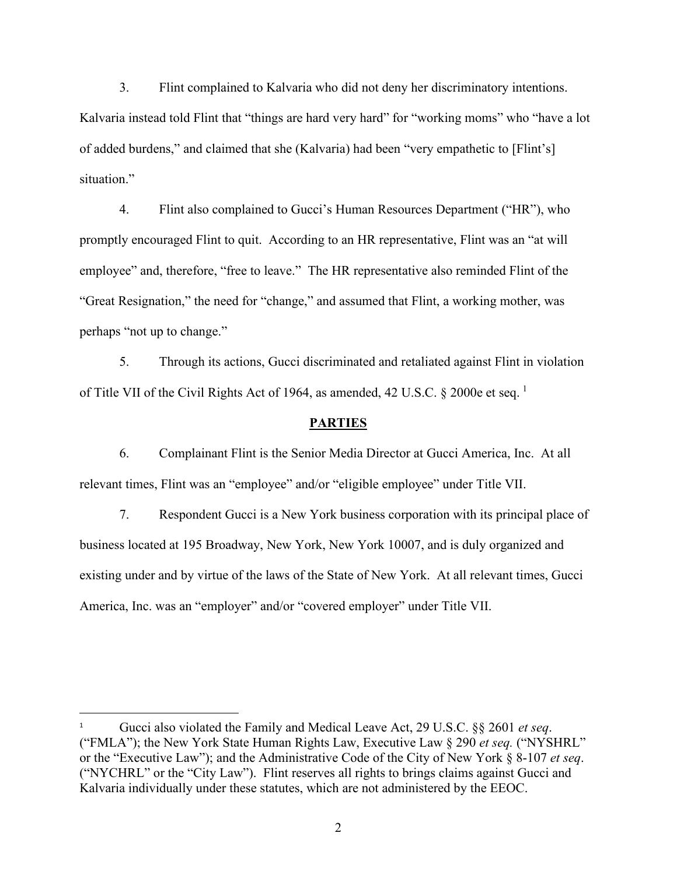3. Flint complained to Kalvaria who did not deny her discriminatory intentions. Kalvaria instead told Flint that "things are hard very hard" for "working moms" who "have a lot of added burdens," and claimed that she (Kalvaria) had been "very empathetic to [Flint's] situation."

4. Flint also complained to Gucci's Human Resources Department ("HR"), who promptly encouraged Flint to quit. According to an HR representative, Flint was an "at will employee" and, therefore, "free to leave." The HR representative also reminded Flint of the "Great Resignation," the need for "change," and assumed that Flint, a working mother, was perhaps "not up to change."

5. Through its actions, Gucci discriminated and retaliated against Flint in violation of Title VII of the Civil Rights Act of [1](#page-1-0)964, as amended, 42 U.S.C. § 2000e et seq.<sup>1</sup>

### **PARTIES**

6. Complainant Flint is the Senior Media Director at Gucci America, Inc. At all relevant times, Flint was an "employee" and/or "eligible employee" under Title VII.

7. Respondent Gucci is a New York business corporation with its principal place of business located at 195 Broadway, New York, New York 10007, and is duly organized and existing under and by virtue of the laws of the State of New York. At all relevant times, Gucci America, Inc. was an "employer" and/or "covered employer" under Title VII.

<span id="page-1-0"></span><sup>1</sup> Gucci also violated the Family and Medical Leave Act, 29 U.S.C. §§ 2601 *et seq*. ("FMLA"); the New York State Human Rights Law, Executive Law § 290 *et seq.* ("NYSHRL" or the "Executive Law"); and the Administrative Code of the City of New York § 8-107 *et seq*. ("NYCHRL" or the "City Law"). Flint reserves all rights to brings claims against Gucci and Kalvaria individually under these statutes, which are not administered by the EEOC.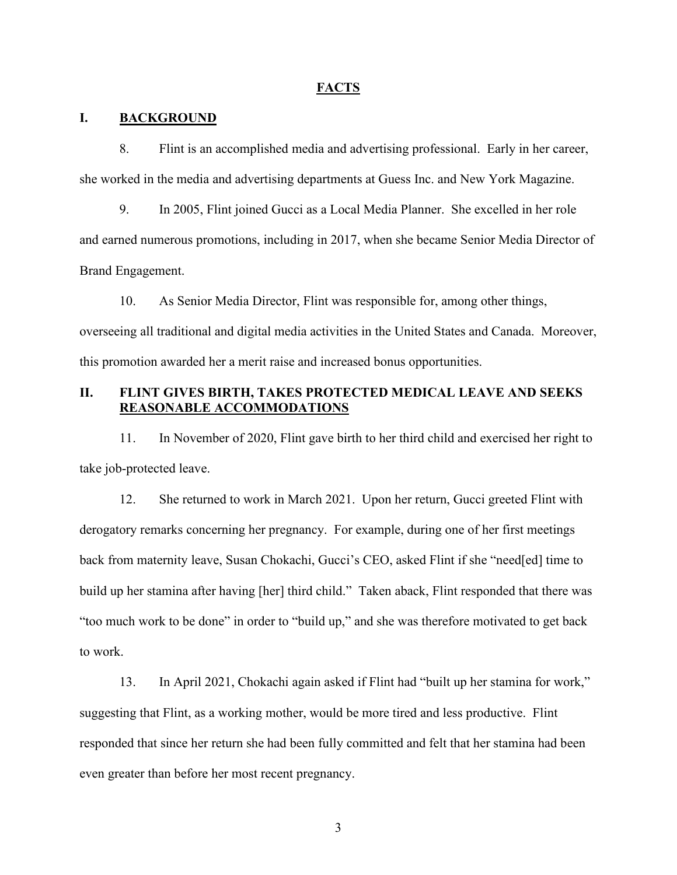### **FACTS**

### **I. BACKGROUND**

8. Flint is an accomplished media and advertising professional. Early in her career, she worked in the media and advertising departments at Guess Inc. and New York Magazine.

9. In 2005, Flint joined Gucci as a Local Media Planner. She excelled in her role and earned numerous promotions, including in 2017, when she became Senior Media Director of Brand Engagement.

10. As Senior Media Director, Flint was responsible for, among other things, overseeing all traditional and digital media activities in the United States and Canada. Moreover, this promotion awarded her a merit raise and increased bonus opportunities.

# **II. FLINT GIVES BIRTH, TAKES PROTECTED MEDICAL LEAVE AND SEEKS REASONABLE ACCOMMODATIONS**

11. In November of 2020, Flint gave birth to her third child and exercised her right to take job-protected leave.

12. She returned to work in March 2021. Upon her return, Gucci greeted Flint with derogatory remarks concerning her pregnancy. For example, during one of her first meetings back from maternity leave, Susan Chokachi, Gucci's CEO, asked Flint if she "need[ed] time to build up her stamina after having [her] third child." Taken aback, Flint responded that there was "too much work to be done" in order to "build up," and she was therefore motivated to get back to work.

13. In April 2021, Chokachi again asked if Flint had "built up her stamina for work," suggesting that Flint, as a working mother, would be more tired and less productive. Flint responded that since her return she had been fully committed and felt that her stamina had been even greater than before her most recent pregnancy.

3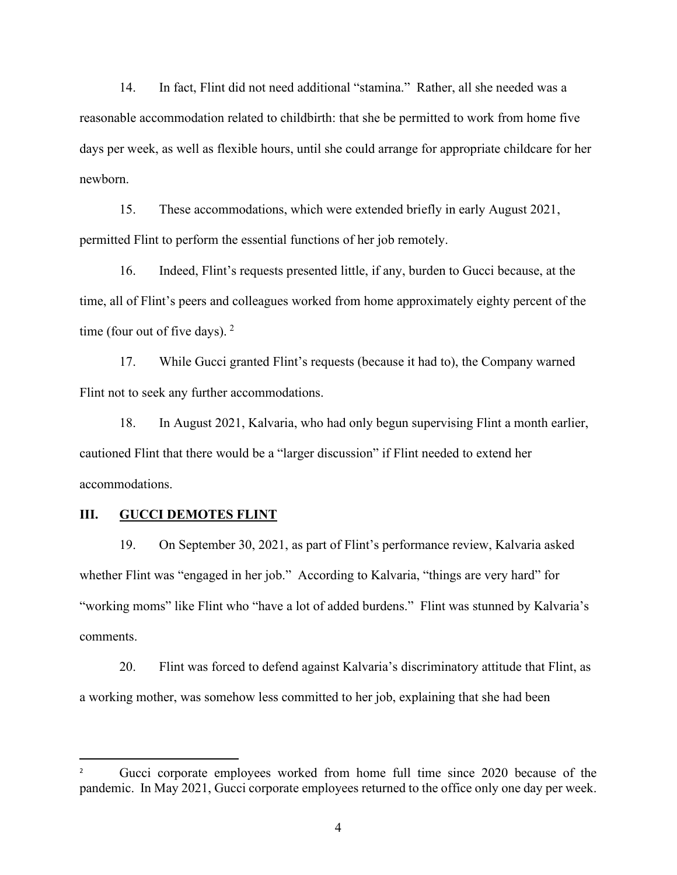14. In fact, Flint did not need additional "stamina." Rather, all she needed was a reasonable accommodation related to childbirth: that she be permitted to work from home five days per week, as well as flexible hours, until she could arrange for appropriate childcare for her newborn.

15. These accommodations, which were extended briefly in early August 2021, permitted Flint to perform the essential functions of her job remotely.

16. Indeed, Flint's requests presented little, if any, burden to Gucci because, at the time, all of Flint's peers and colleagues worked from home approximately eighty percent of the time (four out of five days).  $2^{\circ}$  $2^{\circ}$ 

17. While Gucci granted Flint's requests (because it had to), the Company warned Flint not to seek any further accommodations.

18. In August 2021, Kalvaria, who had only begun supervising Flint a month earlier, cautioned Flint that there would be a "larger discussion" if Flint needed to extend her accommodations.

# **III. GUCCI DEMOTES FLINT**

19. On September 30, 2021, as part of Flint's performance review, Kalvaria asked whether Flint was "engaged in her job." According to Kalvaria, "things are very hard" for "working moms" like Flint who "have a lot of added burdens." Flint was stunned by Kalvaria's comments.

20. Flint was forced to defend against Kalvaria's discriminatory attitude that Flint, as a working mother, was somehow less committed to her job, explaining that she had been

<span id="page-3-0"></span>Gucci corporate employees worked from home full time since 2020 because of the pandemic. In May 2021, Gucci corporate employees returned to the office only one day per week.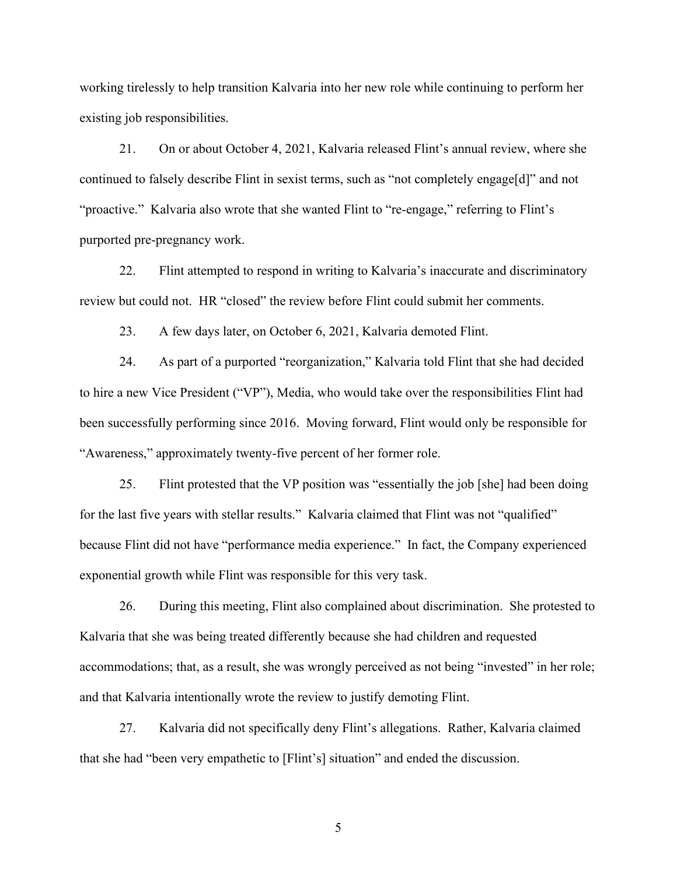working tirelessly to help transition Kalvaria into her new role while continuing to perform her existing job responsibilities.

21. On or about October 4, 2021, Kalvaria released Flint's annual review, where she continued to falsely describe Flint in sexist terms, such as "not completely engage[d]" and not "proactive." Kalvaria also wrote that she wanted Flint to "re-engage," referring to Flint's purported pre-pregnancy work.

22. Flint attempted to respond in writing to Kalvaria's inaccurate and discriminatory review but could not. HR "closed" the review before Flint could submit her comments.

23. A few days later, on October 6, 2021, Kalvaria demoted Flint.

24. As part of a purported "reorganization," Kalvaria told Flint that she had decided to hire a new Vice President ("VP"), Media, who would take over the responsibilities Flint had been successfully performing since 2016. Moving forward, Flint would only be responsible for "Awareness," approximately twenty-five percent of her former role.

25. Flint protested that the VP position was "essentially the job [she] had been doing for the last five years with stellar results." Kalvaria claimed that Flint was not "qualified" because Flint did not have "performance media experience." In fact, the Company experienced exponential growth while Flint was responsible for this very task.

26. During this meeting, Flint also complained about discrimination. She protested to Kalvaria that she was being treated differently because she had children and requested accommodations; that, as a result, she was wrongly perceived as not being "invested" in her role; and that Kalvaria intentionally wrote the review to justify demoting Flint.

27. Kalvaria did not specifically deny Flint's allegations. Rather, Kalvaria claimed that she had "been very empathetic to [Flint's] situation" and ended the discussion.

5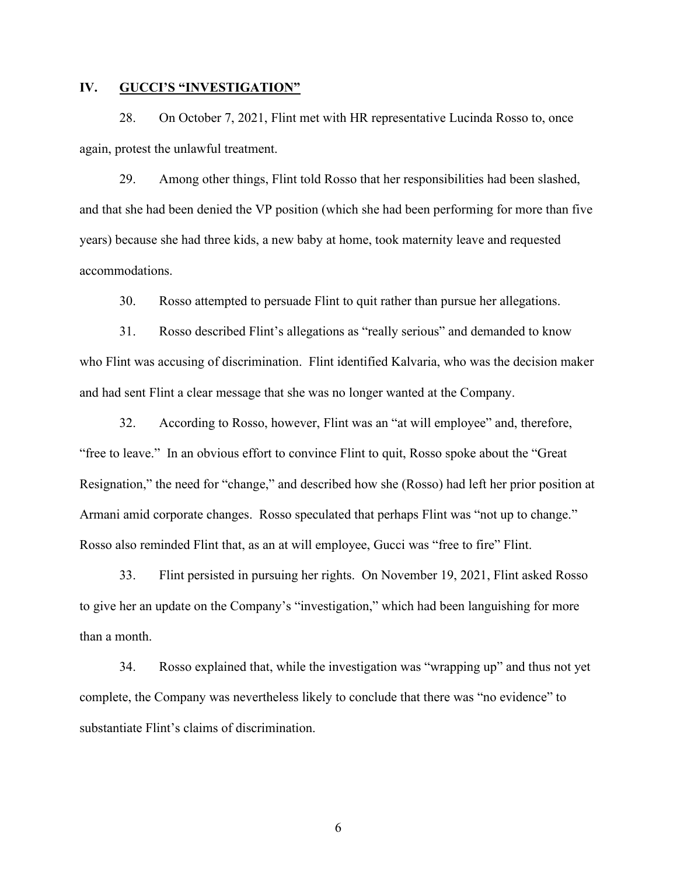## **IV. GUCCI'S "INVESTIGATION"**

28. On October 7, 2021, Flint met with HR representative Lucinda Rosso to, once again, protest the unlawful treatment.

29. Among other things, Flint told Rosso that her responsibilities had been slashed, and that she had been denied the VP position (which she had been performing for more than five years) because she had three kids, a new baby at home, took maternity leave and requested accommodations.

30. Rosso attempted to persuade Flint to quit rather than pursue her allegations.

31. Rosso described Flint's allegations as "really serious" and demanded to know who Flint was accusing of discrimination. Flint identified Kalvaria, who was the decision maker and had sent Flint a clear message that she was no longer wanted at the Company.

32. According to Rosso, however, Flint was an "at will employee" and, therefore, "free to leave." In an obvious effort to convince Flint to quit, Rosso spoke about the "Great Resignation," the need for "change," and described how she (Rosso) had left her prior position at Armani amid corporate changes. Rosso speculated that perhaps Flint was "not up to change." Rosso also reminded Flint that, as an at will employee, Gucci was "free to fire" Flint.

33. Flint persisted in pursuing her rights. On November 19, 2021, Flint asked Rosso to give her an update on the Company's "investigation," which had been languishing for more than a month.

34. Rosso explained that, while the investigation was "wrapping up" and thus not yet complete, the Company was nevertheless likely to conclude that there was "no evidence" to substantiate Flint's claims of discrimination.

6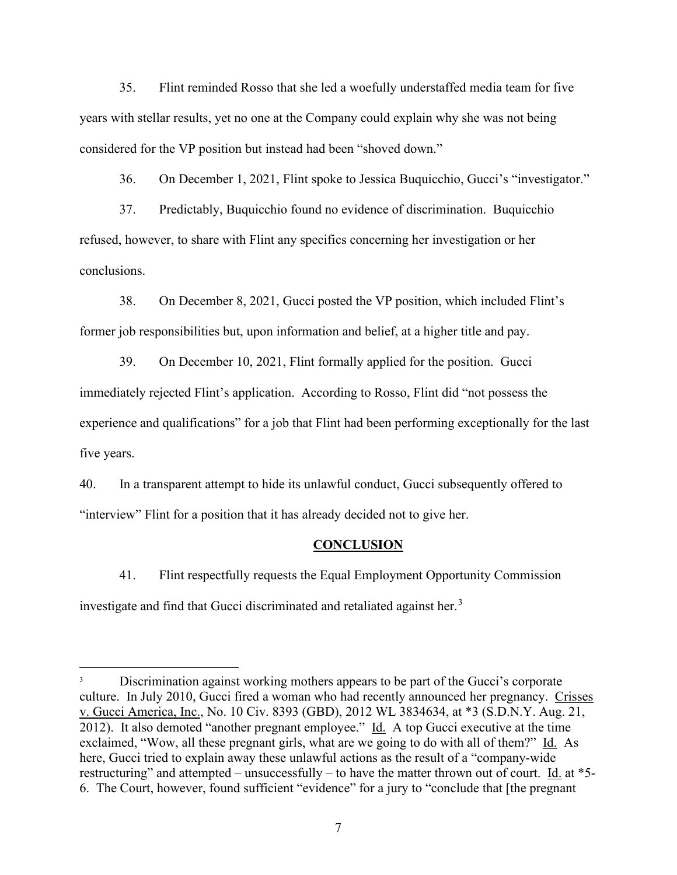35. Flint reminded Rosso that she led a woefully understaffed media team for five years with stellar results, yet no one at the Company could explain why she was not being considered for the VP position but instead had been "shoved down."

36. On December 1, 2021, Flint spoke to Jessica Buquicchio, Gucci's "investigator."

37. Predictably, Buquicchio found no evidence of discrimination. Buquicchio refused, however, to share with Flint any specifics concerning her investigation or her conclusions.

38. On December 8, 2021, Gucci posted the VP position, which included Flint's former job responsibilities but, upon information and belief, at a higher title and pay.

39. On December 10, 2021, Flint formally applied for the position. Gucci immediately rejected Flint's application. According to Rosso, Flint did "not possess the experience and qualifications" for a job that Flint had been performing exceptionally for the last five years.

40. In a transparent attempt to hide its unlawful conduct, Gucci subsequently offered to "interview" Flint for a position that it has already decided not to give her.

### **CONCLUSION**

41. Flint respectfully requests the Equal Employment Opportunity Commission investigate and find that Gucci discriminated and retaliated against her.<sup>[3](#page-6-0)</sup>

<span id="page-6-0"></span><sup>&</sup>lt;sup>3</sup> Discrimination against working mothers appears to be part of the Gucci's corporate culture. In July 2010, Gucci fired a woman who had recently announced her pregnancy. Crisses v. Gucci America, Inc., No. 10 Civ. 8393 (GBD), 2012 WL 3834634, at \*3 (S.D.N.Y. Aug. 21, 2012). It also demoted "another pregnant employee."  $\underline{Id}$ . A top Gucci executive at the time exclaimed, "Wow, all these pregnant girls, what are we going to do with all of them?" Id. As here, Gucci tried to explain away these unlawful actions as the result of a "company-wide restructuring" and attempted – unsuccessfully – to have the matter thrown out of court. Id. at \*5- 6. The Court, however, found sufficient "evidence" for a jury to "conclude that [the pregnant